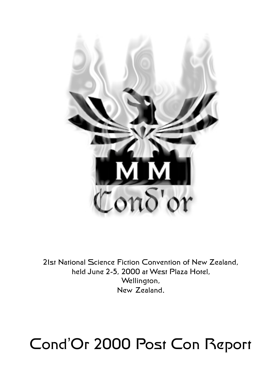

21st National Science Fiction Convention of New Zealand, held June 2-5, 2000 at West Plaza Hotel, Wellington, New Zealand.

# Cond'Or 2000 Post Con Report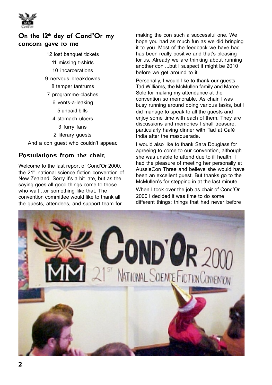

# On the 12<sup>th</sup> day of Cond'Or my concom gave to me

- 12 lost banquet tickets
	- 11 missing t-shirts
	- 10 incarcerations
- 9 nervous breakdowns 8 temper tantrums
- 7 programme-clashes
	- 6 vents-a-leaking
		- 5 unpaid bills
	- 4 stomach ulcers
	- 3 furry fans
	- 2 literary guests

And a con guest who couldn't appear.

# Postulations from the chair.

Welcome to the last report of Cond'Or 2000, the 21<sup>st</sup> national science fiction convention of New Zealand. Sorry it's a bit late, but as the saying goes all good things come to those who wait…or something like that. The convention committee would like to thank all the guests, attendees, and support team for

making the con such a successful one. We hope you had as much fun as we did bringing it to you. Most of the feedback we have had has been really positive and that's pleasing for us. Already we are thinking about running another con ...but I suspect it might be 2010 before we get around to it.

Personally, I would like to thank our quests Tad Williams, the McMullen family and Maree Sole for making my attendance at the convention so memorable. As chair I was busy running around doing various tasks, but I did manage to speak to all the guests and enjoy some time with each of them. They are discussions and memories I shall treasure, particularly having dinner with Tad at Café India after the masquerade.

I would also like to thank Sara Douglass for agreeing to come to our convention, although she was unable to attend due to ill health. I had the pleasure of meeting her personally at AussieCon Three and believe she would have been an excellent guest. But thanks go to the McMullen's for stepping in at the last minute.

When I took over the job as chair of Cond'Or 2000 I decided it was time to do some different things: things that had never before

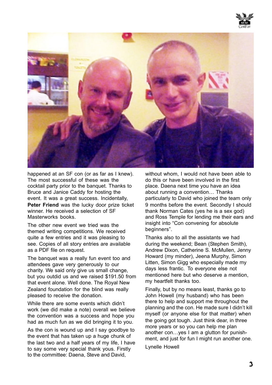



happened at an SF con (or as far as I knew). The most successful of these was the cocktail party prior to the banquet. Thanks to Bruce and Janice Caddy for hosting the event. It was a great success. Incidentally, **Peter Friend** was the lucky door prize ticket winner. He received a selection of SF Masterworks books.

The other new event we tried was the themed writing competitions. We received quite a few entries and it was pleasing to see. Copies of all story entries are available as a PDF file on request.

The banquet was a really fun event too and attendees gave very generously to our charity. We said only give us small change, but you outdid us and we raised \$191.50 from that event alone. Well done. The Royal New Zealand foundation for the blind was really pleased to receive the donation.

While there are some events which didn't work (we did make a note) overall we believe the convention was a success and hope you had as much fun as we did bringing it to you.

As the con is wound up and I say goodbye to the event that has taken up a huge chunk of the last two and a half years of my life, I have to say some very special thank yous. Firstly to the committee: Daena, Steve and David,

without whom, I would not have been able to do this or have been involved in the first place. Daena next time you have an idea about running a convention… Thanks particularly to David who joined the team only 9 months before the event. Secondly I should thank Norman Cates (yes he is a sex god) and Ross Temple for lending me their ears and insight into "Con convening for absolute beginners".

Thanks also to all the assistants we had during the weekend; Bean (Stephen Smith), Andrew Dixon, Catherine S. McMullen, Jenny Howard (my minder), Jeena Murphy, Simon Litten, Simon Gigg who especially made my days less frantic. To everyone else not mentioned here but who deserve a mention, my heartfelt thanks too.

Finally, but by no means least, thanks go to John Howell (my husband) who has been there to help and support me throughout the planning and the con. He made sure I didn't kill myself (or anyone else for that matter) when the going got tough. Just think dear, in three more years or so you can help me plan another con…yes I am a glutton for punishment, and just for fun I might run another one.

Lynelle Howell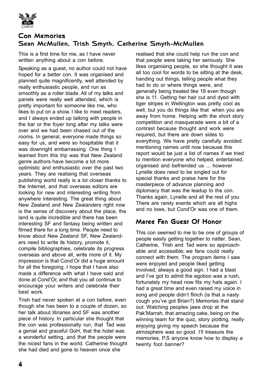

### Con Memories Sean McMullen, Trish Smyth, Catherine Smyth-McMullen

This is a first time for me, as I have never written anything about a con before.

Speaking as a guest, no author could not have hoped for a better con. It was organised and planned quite magnificently, well attended by really enthusiastic people, and run as smoothly as a roller blade. All of my talks and panels were really well attended, which is pretty important for someone like me, who likes to put on a show. I like to meet readers, and I always ended up talking with people in the bar or the foyer long after my talks were over and we had been chased out of the rooms. In general, everyone made things so easy for us, and were so hospitable that it was downright embarrassing. One thing I learned from this trip was that New Zealand genre authors have become a lot more optimistic and enthusiastic over the past two years. They are realising that overseas publishing world really is a lot closer thanks to the Internet, and that overseas editors are looking for new and interesting writing from anywhere interesting. The great thing about New Zealand and New Zealanders right now is the sense of discovery about the place, the land is quite incredible and there has been interesting SF and fantasy being written and filmed there for a long time. People need to know about New Zealand SF, New Zealanders need to write its history, promote it, compile bibliographies, celebrate its progress overseas and above all, write more of it. My impression is that Cond'Or did a huge amount for all the foregoing. I hope that I have also made a difference with what I have said and done at Cond'Or, and that you all continue to encourage your writers and celebrate their best work.

Trish had never spoken at a con before, even though she has been to a couple of dozen, so her talk about libraries and SF was another piece of history. In particular she thought that the con was professionally run, that Tad was a genial and graceful GoH, that the hotel was a wonderful setting, and that the people were the nicest fans in the world. Catherine thought she had died and gone to heaven once she

realised that she could help run the con and that people were taking her seriously. She likes organising people, so she thought it was all too cool for words to be sitting at the desk, handing out things, telling people what they had to do or where things were, and generally being treated like 18 even though she is 11. Getting her hair cut and dyed with tiger stripes in Wellington was pretty cool as well, but you do things like that when you are away from home. Helping with the short story competition and masquerade were a bit of a contrast because thought and work were required, but there are down sides to everything. We have pretty carefully avoided mentioning names until now because this report would be just a list of names if we tried to mention everyone who helped, entertained, organised and befriended us ... however Lynelle does need to be singled out for special thanks and praise here for the masterpiece of advance planning and diplomacy that was the leadup to the con. Thanks again, Lynelle and all the rest of you. There are rarely events which are all highs and no lows, but Cond'Or was one of them.

# Margg Fan Gugst Of Honor

This con seemed to me to be one of groups of people easily getting together to natter. Sean, Catherine, Trish and Tad were so approachable and accessible; we fans could really connect with them. The program items I saw were enjoyed and people liked getting involved, always a good sign. I had a blast and I've got to admit the egoboo was a rush, fortunately my head now fits my hats again. I had a great time and even raised my voice in song and people didn't flinch (is that a nasty cough you've got Brian?) Memories that stand out: Watching peoples jaws drop at the Pak'Marrah, that amazing cake, being on the winning team for the quiz, story plotting, really enjoving giving my speech because the atmosphere was so good. I'll treasure the memories. P.S anyone know how to display a twenty foot banner?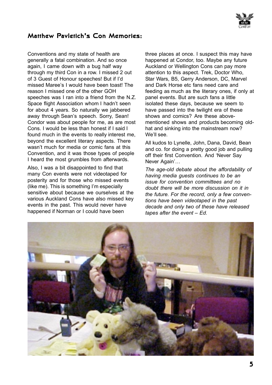

#### Matthew Pavletich's Con Memories:

Conventions and my state of health are generally a fatal combination. And so once again, I came down with a bug half way through my third Con in a row. I missed 2 out of 3 Guest of Honour speeches! But if I'd missed Maree's I would have been toast! The reason I missed one of the other GOH speeches was I ran into a friend from the N.Z. Space flight Association whom I hadn't seen for about 4 years. So naturally we jabbered away through Sean's speech. Sorry, Sean! Condor was about people for me, as are most Cons. I would be less than honest if I said I found much in the events to really interest me, beyond the excellent literary aspects. There wasn't much for media or comic fans at this Convention, and it was those types of people I heard the most grumbles from afterwards.

Also, I was a bit disappointed to find that many Con events were not videotaped for posterity and for those who missed events (like me). This is something I'm especially sensitive about because we ourselves at the various Auckland Cons have also missed key events in the past. This would never have happened if Norman or I could have been

three places at once. I suspect this may have happened at Condor, too. Maybe any future Auckland or Wellington Cons can pay more attention to this aspect. Trek, Doctor Who, Star Wars, B5, Gerry Anderson, DC, Marvel and Dark Horse etc fans need care and feeding as much as the literary ones, if only at panel events. But are such fans a little isolated these days, because we seem to have passed into the twilight era of these shows and comics? Are these abovementioned shows and products becoming oldhat and sinking into the mainstream now? We'll see.

All kudos to Lynelle, John, Dana, David, Bean and co. for doing a pretty good job and pulling off their first Convention. And 'Never Say Never Again'…

*The age-old debate about the affordability of having media guests continues to be an issue for convention committees and no doubt there will be more discussion on it in the future. For the record, only a few conventions have been videotaped in the past decade and only two of these have released tapes after the event – Ed.*

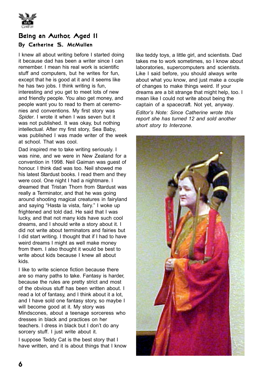

# Being an Author, Aged 11

#### By Catherine S. McMullen

I knew all about writing before I started doing it because dad has been a writer since I can remember. I mean his real work is scientific stuff and computers, but he writes for fun, except that he is good at it and it seems like he has two jobs. I think writing is fun. interesting and you get to meet lots of new and friendly people. You also get money, and people want you to read to them at ceremonies and conventions. My first story was *Spider*. I wrote it when I was seven but it was not published. It was okay, but nothing intellectual. After my first story, Sea Baby, was published I was made writer of the week at school. That was cool.

Dad inspired me to take writing seriously. I was nine, and we were in New Zealand for a convention in 1998. Neil Gaiman was guest of honour. I think dad was too. Neil showed me his latest Stardust books. I read them and they were cool. One night I had a nightmare. I dreamed that Tristan Thorn from Stardust was really a Terminator, and that he was going around shooting magical creatures in fairyland and saying "Hasta la vista, fairy." I woke up frightened and told dad. He said that I was lucky, and that not many kids have such cool dreams, and I should write a story about it. I did not write about terminators and fairies but I did start writing. I thought that if I had to have weird dreams I might as well make money from them. I also thought it would be best to write about kids because I knew all about kids.

I like to write science fiction because there are so many paths to take. Fantasy is harder, because the rules are pretty strict and most of the obvious stuff has been written about. I read a lot of fantasy, and I think about it a lot, and I have sold one fantasy story, so maybe I will become good at it. My story was Mindscones, about a teenage sorceress who dresses in black and practices on her teachers. I dress in black but I don't do any sorcery stuff. I just write about it.

I suppose Teddy Cat is the best story that I have written, and it is about things that I know

like teddy toys, a little girl, and scientists. Dad takes me to work sometimes, so I know about laboratories, supercomputers and scientists. Like I said before, you should always write about what you know, and just make a couple of changes to make things weird. If your dreams are a bit strange that might help, too. I mean like I could not write about being the captain of a spacecraft. Not yet, anyway.

*Editor's Note: Since Catherine wrote this report she has turned 12 and sold another short story to Interzone.*

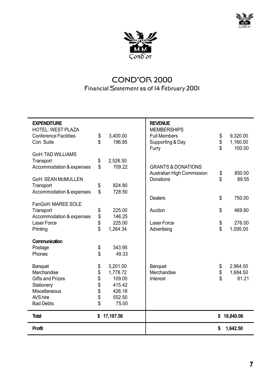



# COND'OR 2000 Financial Statement as of 14 February 2001

| <b>EXPENDITURE</b><br><b>HOTEL: WEST PLAZA</b> |          |                    | <b>REVENUE</b><br><b>MEMBERSHIPS</b> |           |                    |
|------------------------------------------------|----------|--------------------|--------------------------------------|-----------|--------------------|
|                                                |          |                    |                                      |           |                    |
| <b>Conference Facilities</b><br>Con. Suite     | \$<br>\$ | 3,400.00<br>196.85 | <b>Full Members</b>                  | \$<br>\$  | 9,320.00           |
|                                                |          |                    | Supporting & Day<br>Furry            | \$        | 1,160.00<br>100.00 |
| GoH: TAD WILLIAMS                              |          |                    |                                      |           |                    |
| Transport                                      | \$       | 2,526.50           |                                      |           |                    |
| Accommodation & expenses                       | \$       | 709 22             | <b>GRANTS &amp; DONATIONS</b>        |           |                    |
|                                                |          |                    | Australian High Commission           | \$        | 850.00             |
| GoH: SEAN McMULLEN                             |          |                    | Donations                            | \$        | 89.55              |
| Transport                                      | \$       | 824.80             |                                      |           |                    |
| Accommodation & expenses                       | \$       | 728.50             |                                      |           |                    |
|                                                |          |                    | Dealers                              | \$        | 750.00             |
| FanGoH: MAREE SOLE                             |          |                    |                                      |           |                    |
| Transport                                      | \$       | 225.00             | Auction                              | \$        | 469.80             |
| Accommodation & expenses                       | \$       | 146.25             |                                      |           |                    |
| Laser Force                                    | \$       | 225.00             | Laser Force                          | \$        | 276.00             |
| Printing                                       | \$       | 1,264.34           | Advertising                          | \$        | 1,095.00           |
| Communication                                  |          |                    |                                      |           |                    |
| Postage                                        | \$       | 343.95             |                                      |           |                    |
| Phones                                         | \$       | 49.33              |                                      |           |                    |
| Banguet                                        | \$       | 3.201.00           | Banquet                              | \$        | 2,964.00           |
| Merchandise                                    | \$       | 1.778.72           | Merchandise                          | \$        | 1,684.50           |
| <b>Gifts and Prizes</b>                        | \$       | 109.00             | Interest                             | \$        | 81.21              |
| Stationery                                     |          | 415.42             |                                      |           |                    |
| Miscellaneous                                  | \$<br>\$ | 426.18             |                                      |           |                    |
| AVS hire                                       | \$       | 552.50             |                                      |           |                    |
| <b>Bad Debts</b>                               | \$       | 75.00              |                                      |           |                    |
| <b>Total</b><br>17,197.56<br>\$                |          |                    | \$                                   | 18,840.06 |                    |
| <b>Profit</b>                                  |          |                    |                                      | \$        | 1.642.50           |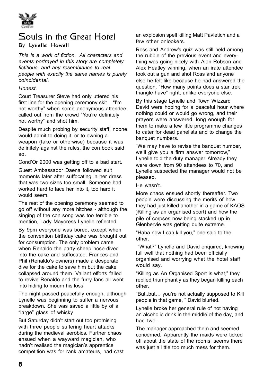

# Souls in the Great Hotel By Lynelle Howell

*This is a work of fiction. All characters and events portrayed in this story are completely fictitious, and any resemblance to real people with exactly the same names is purely coincidental.* 

#### *Honest.*

Court Treasurer Steve had only uttered his first line for the opening ceremony skit – "I'm not worthy" when some anonymous attendee called out from the crowd "You're definitely not worthy" and shot him.

Despite much probing by security staff, noone would admit to doing it, or to owning a weapon (fake or otherwise) because it was definitely against the rules, the con book said so.

Cond'Or 2000 was getting off to a bad start.

Guest Ambassador Daena followed suit moments later after suffocating in her dress that was two sizes too small. Someone had worked hard to lace her into it, too hard it would seem.

The rest of the opening ceremony seemed to go off without any more hitches - although the singing of the con song was too terrible to mention, Lady Mayoress Lynelle reflected.

By 9pm everyone was bored, except when the convention birthday cake was brought out for consumption. The only problem came when Renaldo the party sheep nose-dived into the cake and suffocated. Frances and Phil (Renaldo's owners) made a desperate dive for the cake to save him but the cake collapsed around them. Valiant efforts failed to revive Renaldo and the furry fans all went into hiding to mourn his loss.

The night passed peacefully enough, although Lynelle was beginning to suffer a nervous breakdown. She was saved a little by of a "large" glass of whisky.

But Saturday didn't start out too promising with three people suffering heart attacks during the medieval aerobics. Further chaos ensued when a wayward magician, who hadn't realised the magician's apprentice competition was for rank amateurs, had cast an explosion spell killing Matt Pavletich and a few other onlookers.

Ross and Andrew's quiz was still held among the rubble of the previous event and everything was going nicely with Alan Robson and Alex Heatley winning, when an irate attendee took out a gun and shot Ross and anyone else he felt like because he had answered the question. "How many points does a star trek triangle have" right, unlike everyone else.

By this stage Lynelle and Town Wizzard David were hoping for a peaceful hour where nothing could or would go wrong, and their prayers were answered, long enough for them to make a few little programme changes to cater for dead panelists and to change the banquet numbers.

"We may have to revise the banquet number, we'll give you a firm answer tomorrow." Lynelle told the duty manager. Already they were down from 90 attendees to 70, and Lynelle suspected the manager would not be pleased.

He wasn't.

More chaos ensued shortly thereafter. Two people were discussing the merits of how they had just killed another in a game of KAOS )Killing as an organised sport) and how the pile of corpses now being stacked up in Glenbervie was getting quite extreme.

"Haha now I can kill you," one said to the other.

 "What?" Lynelle and David enquired, knowing full well that nothing had been officially organised and worrying what the hotel staff would say.

"Killing as An Organised Sport is what," they replied triumphantly as they began killing each other.

"But..but… you're not actually supposed to Kill people in that game, " David blurted.

Lynelle broke her general rule of not having an alcoholic drink in the middle of the day, and had two.

The manager approached them and seemed concerned. Apparently the maids were ticked off about the state of the rooms; seems there was just a little too much mess for them.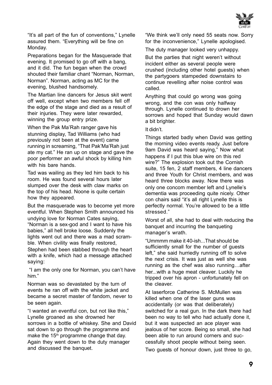

"It's all part of the fun of conventions," Lynelle assured them. "Everything will be fine on Monday.

Preparations began for the Masquerade that evening. It promised to go off with a bang, and it did. The fun began when the crowd shouted their familiar chant "Norman, Norman, Norman". Norman, acting as MC for the evening, blushed handsomely.

The Martian line dancers for Jesus skit went off well, except when two members fell off the edge of the stage and died as a result of their injuries. They were later rewarded, winning the group entry prize.

When the Pak Ma'Rah ranger gave his stunning display, Tad Williams (who had previously not been at the event) came running in screaming, "That Pak'Ma'Rah just ate my cat." He ran up on stage and gave the poor performer an awful shock by killing him with his bare hands.

Tad was wailing as they led him back to his room. He was found several hours later slumped over the desk with claw marks on the top of his head. Noone is quite certain how they appeared.

But the masquerade was to become yet more eventful. When Stephen Smith announced his undying love for Norman Cates saying, "Norman is a sex-god and I want to have his babies," all hell broke loose. Suddenly the lights went out and there was a mad scramble. When civility was finally restored, Stephen had been stabbed through the heart with a knife, which had a message attached saying:

 "I am the only one for Norman, you can't have him."

Norman was so devastated by the turn of events he ran off with the white jacket and became a secret master of fandom, never to be seen again.

"I wanted an eventful con, but not like this," Lynelle groaned as she drowned her sorrows in a bottle of whiskey. She and David sat down to go through the programme and make the  $15<sup>th</sup>$  programme change that day. Again they went down to the duty manager and discussed the banquet.

"We think we'll only need 55 seats now. Sorry for the inconvenience," Lynelle apologised.

The duty manager looked very unhappy.

But the parties that night weren't without incident either as several people were crushed (including other hotel guests) when the partygoers stampeded downstairs to continue revelling after noise control was called.

Anything that could go wrong was going wrong, and the con was only halfway through. Lynelle continued to drown her sorrows and hoped that Sunday would dawn a bit brighter.

It didn't.

Things started badly when David was getting the morning video events ready. Just before 9am David was heard saying," Now what happens if I put this blue wire on this red wire?" The explosion took out the Cornish suite, 15 fen, 2 staff members, 4 line dancers and three Youth for Christ members, and was heard three blocks away. Now there was only one concom member left and Lynelle's dementia was proceeding quite nicely. Other con chairs said "it's all right Lynelle this is perfectly normal. You're allowed to be a little stressed."

Worst of all, she had to deal with reducing the banquet and incurring the banqueting manager's wrath.

"Ummmm make it 40-ish...That should be sufficiently small for the number of guests left," she said hurriedly running off to solve the next crisis. It was just as well she was running as the chef was also running…after her...with a huge meat cleaver. Luckily he tripped over his apron - unfortunately fell on the cleaver.

At laserforce Catherine S. McMullen was killed when one of the laser guns was accidentally (or was that deliberately) switched for a real gun. In the dark there had been no way to tell who had actually done it, but it was suspected an ace player was jealous of her score. Being so small, she had been able to run around corners and successfully shoot people without being seen. Two guests of honour down, just three to go,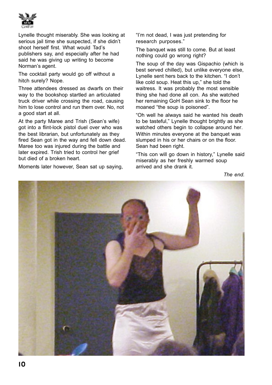

Lynelle thought miserably. She was looking at serious jail time she suspected, if she didn't shoot herself first. What would Tad's publishers say, and especially after he had said he was giving up writing to become Norman's agent.

The cocktail party would go off without a hitch surely? Nope.

Three attendees dressed as dwarfs on their way to the bookshop startled an articulated truck driver while crossing the road, causing him to lose control and run them over. No, not a good start at all.

At the party Maree and Trish (Sean's wife) got into a flint-lock pistol duel over who was the best librarian, but unfortunately as they fired Sean got in the way and fell down dead. Maree too was injured during the battle and later expired. Trish tried to control her grief but died of a broken heart.

Moments later however, Sean sat up saying,

"I'm not dead, I was just pretending for research purposes."

The banquet was still to come. But at least nothing could go wrong right?

The soup of the day was Gispachio (which is best served chilled), but unlike everyone else, Lynelle sent hers back to the kitchen. "I don't like cold soup. Heat this up," she told the waitress. It was probably the most sensible thing she had done all con. As she watched her remaining GoH Sean sink to the floor he moaned "the soup is poisoned".

"Oh well he always said he wanted his death to be tasteful," Lynelle thought brightly as she watched others begin to collapse around her. Within minutes everyone at the banquet was slumped in his or her chairs or on the floor. Sean had been right.

"This con will go down in history," Lynelle said miserably as her freshly warmed soup arrived and she drank it.

*The end.*

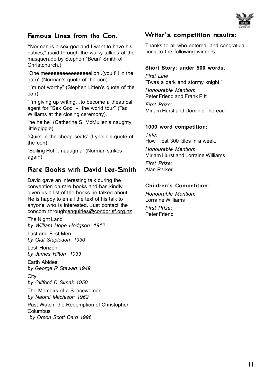

## Famous Lines from the Con.

**"**Norman is a sex god and I want to have his babies," (said through the walky-talkies at the masquerade by Stephen "Bean" Smith of Christchurch.)

"One meeeeeeeeeeeeeeeelion .(you fill in the gap)" (Norman's quote of the con).

"I'm not worthy" (Stephen Litten's quote of the con)

"I'm giving up writing…to become a theatrical agent for "Sex God" - the world tour" (Tad Williams at the closing ceremony).

"he he he" (Catherine S. McMullen's naughty little giggle).

"Quiet in the cheap seats" (Lynelle's quote of the con).

"Boiling Hot…maaagma" (Norman strikes again).

#### Rarg Books with David Leg-Smith

David gave an interesting talk during the convention on rare books and has kindly given us a list of the books he talked about. He is happy to email the text of his talk to anyone who is interested. Just contact the concom through: enquiries@condor.sf.org.nz.

The Night Land *by William Hope Hodgson 1912*

Last and First Men *by Olaf Stapledon 1930*

Lost Horizon *by James Hilton 1933*

Earth Abides *by George R Stewart 1949*

**City** *by Clifford D Simak 1950*

The Memoirs of a Spacewoman *by Naomi Mitchison 1962*

Past Watch; the Redemption of Christopher **Columbus** *by Orson Scott Card 1996*

#### Writer's competition results:

Thanks to all who entered, and congratulations to the following winners.

#### **Short Story: under 500 words**.

*First Line*: "Twas a dark and stormy knight."

*Honourable Mention*: Peter Friend and Frank Pitt

*First Prize*: Miriam Hurst and Dominic Thoreau

#### **1000 word competition:**

*Title*: How I lost 300 kilos in a week. *Honourable Mention*: Miriam Hurst and Lorraine Williams

*First Prize*: Alan Parker

#### **Children's Competition**:

*Honourable Mention*: Lorraine Williams

*First Prize*: Peter Friend